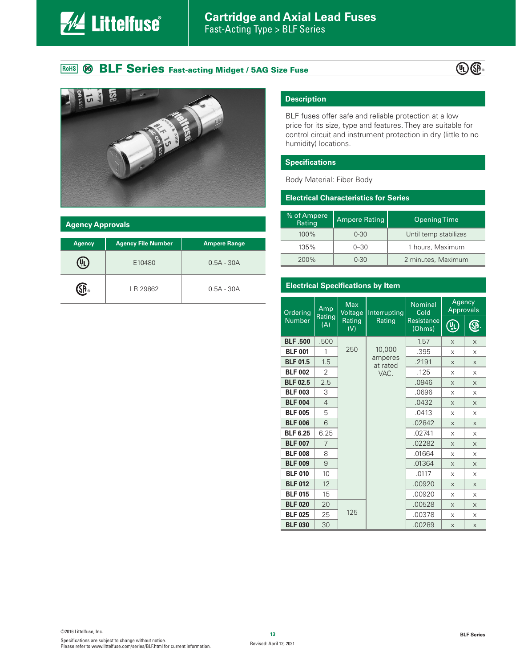

## ROHS @ BLF Series Fast-acting Midget / 5AG Size Fuse





#### **Agency Approvals**

| <b>Agency</b> | <b>Agency File Number</b> | <b>Ampere Range</b> |  |  |
|---------------|---------------------------|---------------------|--|--|
|               | E10480                    | $0.5A - 30A$        |  |  |
|               | LR 29862                  | $0.5A - 30A$        |  |  |

### **Description**

BLF fuses offer safe and reliable protection at a low price for its size, type and features. They are suitable for control circuit and instrument protection in dry (little to no humidity) locations.

#### **Specifications**

Body Material: Fiber Body

#### **Electrical Characteristics for Series**

| % of Ampere<br>Rating | <b>Ampere Rating</b> | <b>Opening Time</b>   |  |
|-----------------------|----------------------|-----------------------|--|
| 100%                  | $0 - 30$             | Until temp stabilizes |  |
| 135%                  | $0 - 30$             | 1 hours, Maximum      |  |
| 200%                  | $0 - 30$             | 2 minutes, Maximum    |  |

#### **Electrical Specifications by Item**

| Ordering<br><b>Number</b> | Amp<br>Rating<br>(A) | <b>Max</b><br>Voltage<br>Rating<br>(V) | Interrupting<br>Rating | <b>Nominal</b><br>Cold<br>Resistance<br>(Ohms) | Agency<br><b>Approvals</b> |            |
|---------------------------|----------------------|----------------------------------------|------------------------|------------------------------------------------|----------------------------|------------|
|                           |                      |                                        |                        |                                                | ¢                          | $\bigcirc$ |
| <b>BLF .500</b>           | .500                 |                                        |                        | 1.57                                           | $\times$                   | $\times$   |
| <b>BLF 001</b>            | 1                    | 250                                    | 10,000                 | .395                                           | X                          | X          |
| <b>BLF 01.5</b>           | 1.5                  |                                        | amperes<br>at rated    | .2191                                          | $\times$                   | $\times$   |
| <b>BLF 002</b>            | 2                    |                                        | VAC.                   | .125                                           | X                          | X          |
| <b>BLF 02.5</b>           | 2.5                  |                                        |                        | .0946                                          | $\times$                   | $\times$   |
| <b>BLF 003</b>            | 3                    |                                        |                        | .0696                                          | X                          | X          |
| <b>BLF 004</b>            | $\overline{4}$       |                                        |                        | .0432                                          | $\times$                   | $\times$   |
| <b>BLF 005</b>            | 5                    |                                        |                        | .0413                                          | X                          | X          |
| <b>BLF 006</b>            | 6                    |                                        |                        | .02842                                         | $\times$                   | X          |
| <b>BLF 6.25</b>           | 6.25                 |                                        |                        | .02741                                         | X                          | X          |
| <b>BLF 007</b>            | $\overline{7}$       |                                        |                        | .02282                                         | $\times$                   | $\times$   |
| <b>BLF 008</b>            | 8                    |                                        |                        | .01664                                         | X                          | X          |
| <b>BLF 009</b>            | 9                    |                                        |                        | .01364                                         | $\times$                   | $\times$   |
| <b>BLF 010</b>            | 10                   |                                        |                        | .0117                                          | X                          | X          |
| <b>BLF 012</b>            | 12                   |                                        |                        | .00920                                         | $\times$                   | $\times$   |
| <b>BLF 015</b>            | 15                   |                                        |                        | .00920                                         | X                          | X          |
| <b>BLF 020</b>            | 20                   |                                        |                        | .00528                                         | X                          | X          |
| <b>BLF 025</b>            | 25                   | 125                                    |                        | .00378                                         | X                          | X          |
| <b>BLF 030</b>            | 30                   |                                        |                        | .00289                                         | $\times$                   | $\times$   |